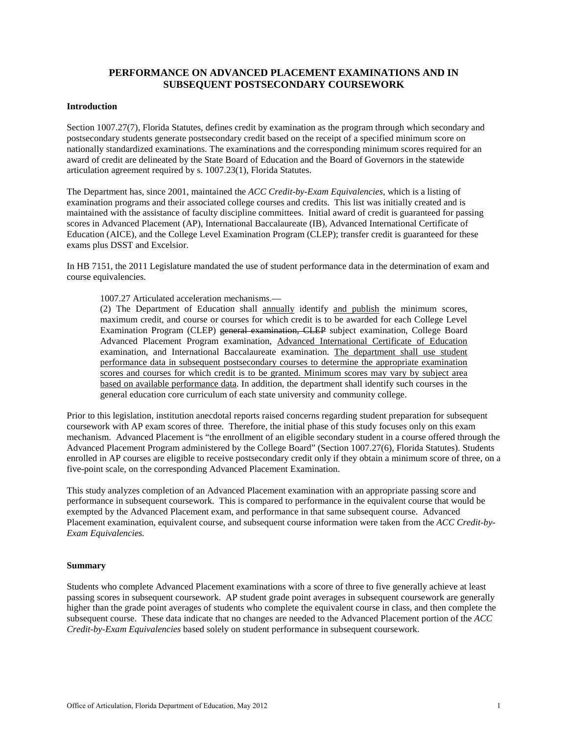## **PERFORMANCE ON ADVANCED PLACEMENT EXAMINATIONS AND IN SUBSEQUENT POSTSECONDARY COURSEWORK**

#### **Introduction**

Section 1007.27(7), Florida Statutes, defines credit by examination as the program through which secondary and postsecondary students generate postsecondary credit based on the receipt of a specified minimum score on nationally standardized examinations. The examinations and the corresponding minimum scores required for an award of credit are delineated by the State Board of Education and the Board of Governors in the statewide articulation agreement required by s. 1007.23(1), Florida Statutes.

The Department has, since 2001, maintained the *ACC Credit-by-Exam Equivalencies*, which is a listing of examination programs and their associated college courses and credits. This list was initially created and is maintained with the assistance of faculty discipline committees. Initial award of credit is guaranteed for passing scores in Advanced Placement (AP), International Baccalaureate (IB), Advanced International Certificate of Education (AICE), and the College Level Examination Program (CLEP); transfer credit is guaranteed for these exams plus DSST and Excelsior.

In HB 7151, the 2011 Legislature mandated the use of student performance data in the determination of exam and course equivalencies.

1007.27 Articulated acceleration mechanisms.—

(2) The Department of Education shall annually identify and publish the minimum scores, maximum credit, and course or courses for which credit is to be awarded for each College Level Examination Program (CLEP) general examination, CLEP subject examination, College Board Advanced Placement Program examination, Advanced International Certificate of Education examination, and International Baccalaureate examination. The department shall use student performance data in subsequent postsecondary courses to determine the appropriate examination scores and courses for which credit is to be granted. Minimum scores may vary by subject area based on available performance data. In addition, the department shall identify such courses in the general education core curriculum of each state university and community college.

Prior to this legislation, institution anecdotal reports raised concerns regarding student preparation for subsequent coursework with AP exam scores of three. Therefore, the initial phase of this study focuses only on this exam mechanism. Advanced Placement is "the enrollment of an eligible secondary student in a course offered through the Advanced Placement Program administered by the College Board" (Section 1007.27(6), Florida Statutes). Students enrolled in AP courses are eligible to receive postsecondary credit only if they obtain a minimum score of three, on a five-point scale, on the corresponding Advanced Placement Examination.

This study analyzes completion of an Advanced Placement examination with an appropriate passing score and performance in subsequent coursework. This is compared to performance in the equivalent course that would be exempted by the Advanced Placement exam, and performance in that same subsequent course. Advanced Placement examination, equivalent course, and subsequent course information were taken from the *ACC Credit-by-Exam Equivalencies.*

#### **Summary**

Students who complete Advanced Placement examinations with a score of three to five generally achieve at least passing scores in subsequent coursework. AP student grade point averages in subsequent coursework are generally higher than the grade point averages of students who complete the equivalent course in class, and then complete the subsequent course. These data indicate that no changes are needed to the Advanced Placement portion of the *ACC Credit-by-Exam Equivalencies* based solely on student performance in subsequent coursework.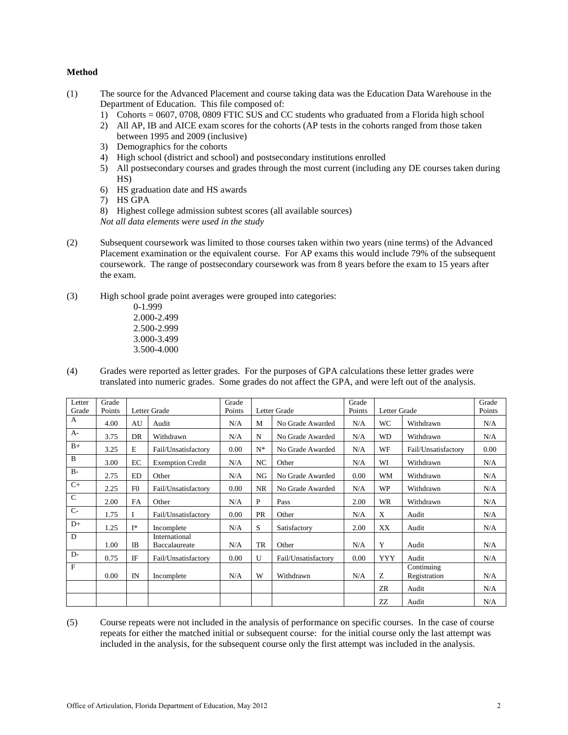#### **Method**

- (1) The source for the Advanced Placement and course taking data was the Education Data Warehouse in the Department of Education. This file composed of:
	- 1) Cohorts = 0607, 0708, 0809 FTIC SUS and CC students who graduated from a Florida high school
	- 2) All AP, IB and AICE exam scores for the cohorts (AP tests in the cohorts ranged from those taken between 1995 and 2009 (inclusive)
	- 3) Demographics for the cohorts
	- 4) High school (district and school) and postsecondary institutions enrolled
	- 5) All postsecondary courses and grades through the most current (including any DE courses taken during HS)
	- 6) HS graduation date and HS awards
	- 7) HS GPA
	- 8) Highest college admission subtest scores (all available sources)

*Not all data elements were used in the study*

- (2) Subsequent coursework was limited to those courses taken within two years (nine terms) of the Advanced Placement examination or the equivalent course. For AP exams this would include 79% of the subsequent coursework. The range of postsecondary coursework was from 8 years before the exam to 15 years after the exam.
- (3) High school grade point averages were grouped into categories:

0-1.999 2.000-2.499 2.500-2.999 3.000-3.499 3.500-4.000

(4) Grades were reported as letter grades. For the purposes of GPA calculations these letter grades were translated into numeric grades. Some grades do not affect the GPA, and were left out of the analysis.

| Letter<br>Grade | Grade<br>Points |                | Letter Grade            | Grade<br>Points |              | Letter Grade        | Grade<br>Points | Letter Grade |                     | Grade<br>Points |
|-----------------|-----------------|----------------|-------------------------|-----------------|--------------|---------------------|-----------------|--------------|---------------------|-----------------|
| A               |                 |                |                         |                 |              |                     |                 |              |                     |                 |
|                 | 4.00            | AU             | Audit                   | N/A             | M            | No Grade Awarded    | N/A             | <b>WC</b>    | Withdrawn           | N/A             |
| $A-$            | 3.75            | DR             | Withdrawn               | N/A             | N            | No Grade Awarded    | N/A             | <b>WD</b>    | Withdrawn           | N/A             |
| $B+$            | 3.25            | E              | Fail/Unsatisfactory     | 0.00            | $N^*$        | No Grade Awarded    | N/A             | WF           | Fail/Unsatisfactory | 0.00            |
| $\mathbf B$     | 3.00            | EC             | <b>Exemption Credit</b> | N/A             | NC           | Other               | N/A             | WI           | Withdrawn           | N/A             |
| $B -$           | 2.75            | <b>ED</b>      | Other                   | N/A             | NG           | No Grade Awarded    | 0.00            | <b>WM</b>    | Withdrawn           | N/A             |
| $C+$            | 2.25            | F <sub>0</sub> | Fail/Unsatisfactory     | 0.00            | <b>NR</b>    | No Grade Awarded    | N/A             | <b>WP</b>    | Withdrawn           | N/A             |
| $\mathsf{C}$    | 2.00            | FA             | Other                   | N/A             | $\mathbf{P}$ | Pass                | 2.00            | <b>WR</b>    | Withdrawn           | N/A             |
| $C-$            | 1.75            | I              | Fail/Unsatisfactory     | 0.00            | <b>PR</b>    | Other               | N/A             | X            | Audit               | N/A             |
| $D+$            | 1.25            | T*             | Incomplete              | N/A             | S            | Satisfactory        | 2.00            | XX           | Audit               | N/A             |
| D               |                 |                | International           |                 |              |                     |                 |              |                     |                 |
|                 | 1.00            | IB             | Baccalaureate           | N/A             | <b>TR</b>    | Other               | N/A             | Y            | Audit               | N/A             |
| $D-$            | 0.75            | IF             | Fail/Unsatisfactory     | 0.00            | U            | Fail/Unsatisfactory | 0.00            | <b>YYY</b>   | Audit               | N/A             |
| $\mathbf F$     |                 |                |                         |                 |              |                     |                 |              | Continuing          |                 |
|                 | 0.00            | IN             | Incomplete              | N/A             | W            | Withdrawn           | N/A             | Z            | Registration        | N/A             |
|                 |                 |                |                         |                 |              |                     |                 | ZR           | Audit               | N/A             |
|                 |                 |                |                         |                 |              |                     |                 | ZZ           | Audit               | N/A             |

(5) Course repeats were not included in the analysis of performance on specific courses. In the case of course repeats for either the matched initial or subsequent course: for the initial course only the last attempt was included in the analysis, for the subsequent course only the first attempt was included in the analysis.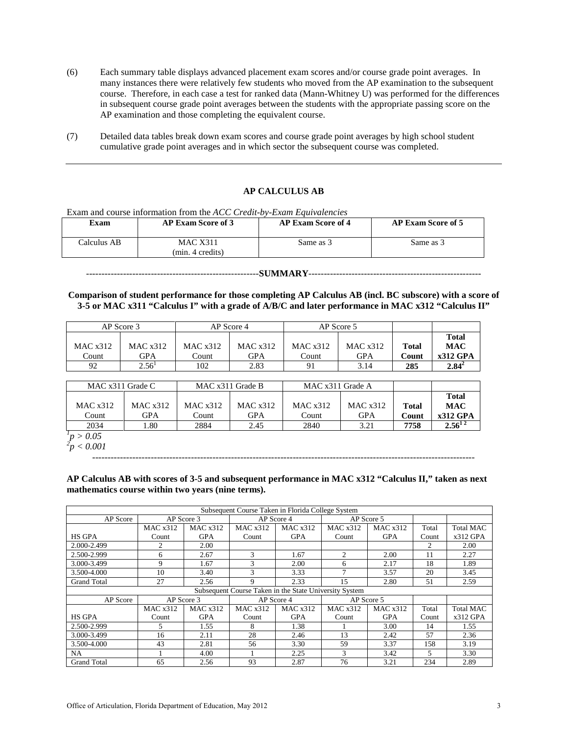- (6) Each summary table displays advanced placement exam scores and/or course grade point averages. In many instances there were relatively few students who moved from the AP examination to the subsequent course. Therefore, in each case a test for ranked data (Mann-Whitney U) was performed for the differences in subsequent course grade point averages between the students with the appropriate passing score on the AP examination and those completing the equivalent course.
- (7) Detailed data tables break down exam scores and course grade point averages by high school student cumulative grade point averages and in which sector the subsequent course was completed.

### **AP CALCULUS AB**

Exam and course information from the *ACC Credit-by-Exam Equivalencies*

| Exam        | <b>AP Exam Score of 3</b>           | <b>AP Exam Score of 4</b> | <b>AP Exam Score of 5</b> |
|-------------|-------------------------------------|---------------------------|---------------------------|
| Calculus AB | <b>MAC X311</b><br>(min. 4 credits) | Same as 3                 | Same as 3                 |

#### --------------------------------------------------------**SUMMARY**--------------------------------------------------------

**Comparison of student performance for those completing AP Calculus AB (incl. BC subscore) with a score of 3-5 or MAC x311 "Calculus I" with a grade of A/B/C and later performance in MAC x312 "Calculus II"**

| AP Score 3 |          | AP Score 4 |            |          | AP Score 5 |              |              |
|------------|----------|------------|------------|----------|------------|--------------|--------------|
|            |          |            |            |          |            |              | <b>Total</b> |
| MAC x312   | MAC x312 | MAC x312   | MAC x312   | MAC x312 | MAC x312   | <b>Total</b> | <b>MAC</b>   |
| Count      | GPA      | Count      | <b>GPA</b> | Count    | <b>GPA</b> | Count        | $x312$ GPA   |
| 92         | $2.56^1$ | 102        | 2.83       | 91       | 3.14       | 285          | $2.84^{2}$   |

| MAC x311 Grade C |            | MAC x311 Grade B |            | MAC x311 Grade A |          |              |              |
|------------------|------------|------------------|------------|------------------|----------|--------------|--------------|
|                  |            |                  |            |                  |          |              | <b>Total</b> |
| MAC $x312$       | MAC x312   | MAC x312         | MAC $x312$ | MAC x312         | MAC x312 | <b>Total</b> | <b>MAC</b>   |
| Count            | <b>GPA</b> | Count            | <b>GPA</b> | Count            | GPA      | Count        | $x312$ GPA   |
| 2034             | . .80      | 2884             | 2.45       | 2840             | 3.21     | 7758         | $2.56^{12}$  |
| p > 0.05         |            |                  |            |                  |          |              |              |

*p > 0.05 2 p < 0.001*

----------------------------------------------------------------------------------------------------------------------------

**AP Calculus AB with scores of 3-5 and subsequent performance in MAC x312 "Calculus II," taken as next mathematics course within two years (nine terms).**

|                    |          |                 | Subsequent Course Taken in Florida College System      |                 |                 |            |       |                  |
|--------------------|----------|-----------------|--------------------------------------------------------|-----------------|-----------------|------------|-------|------------------|
| AP Score           |          | AP Score 3      |                                                        | AP Score 4      |                 | AP Score 5 |       |                  |
|                    | MAC x312 | <b>MAC x312</b> | <b>MAC x312</b>                                        | <b>MAC x312</b> | <b>MAC x312</b> | MAC x312   | Total | <b>Total MAC</b> |
| <b>HS GPA</b>      | Count    | <b>GPA</b>      | Count                                                  | <b>GPA</b>      | Count           | <b>GPA</b> | Count | $x312$ GPA       |
| 2.000-2.499        | 2        | 2.00            |                                                        |                 |                 |            | 2     | 2.00             |
| 2.500-2.999        | 6        | 2.67            | 3                                                      | 1.67            | 2               | 2.00       | 11    | 2.27             |
| 3.000-3.499        | 9        | 1.67            | $\mathcal{R}$                                          | 2.00            | 6               | 2.17       | 18    | 1.89             |
| 3.500-4.000        | 10       | 3.40            | $\mathbf{3}$                                           | 3.33            | $\overline{ }$  | 3.57       | 20    | 3.45             |
| <b>Grand Total</b> | 27       | 2.56            | 9                                                      | 2.33            | 15              | 2.80       | 51    | 2.59             |
|                    |          |                 | Subsequent Course Taken in the State University System |                 |                 |            |       |                  |
| AP Score           |          | AP Score 3      |                                                        | AP Score 4      |                 | AP Score 5 |       |                  |
|                    | MAC x312 | MAC x312        | MAC x312                                               | <b>MAC x312</b> | <b>MAC x312</b> | MAC x312   | Total | <b>Total MAC</b> |
| <b>HS GPA</b>      | Count    | <b>GPA</b>      | Count                                                  | <b>GPA</b>      | Count           | <b>GPA</b> | Count | $x312$ GPA       |
| 2.500-2.999        | 5.       | 1.55            | 8                                                      | 1.38            |                 | 3.00       | 14    | 1.55             |
| 3.000-3.499        | 16       | 2.11            | 28                                                     | 2.46            | 13              | 2.42       | 57    | 2.36             |
| 3.500-4.000        | 43       | 2.81            | 56                                                     | 3.30            | 59              | 3.37       | 158   | 3.19             |
| NA.                |          | 4.00            |                                                        | 2.25            | 3               | 3.42       | 5     | 3.30             |
| <b>Grand Total</b> | 65       | 2.56            | 93                                                     | 2.87            | 76              | 3.21       | 234   | 2.89             |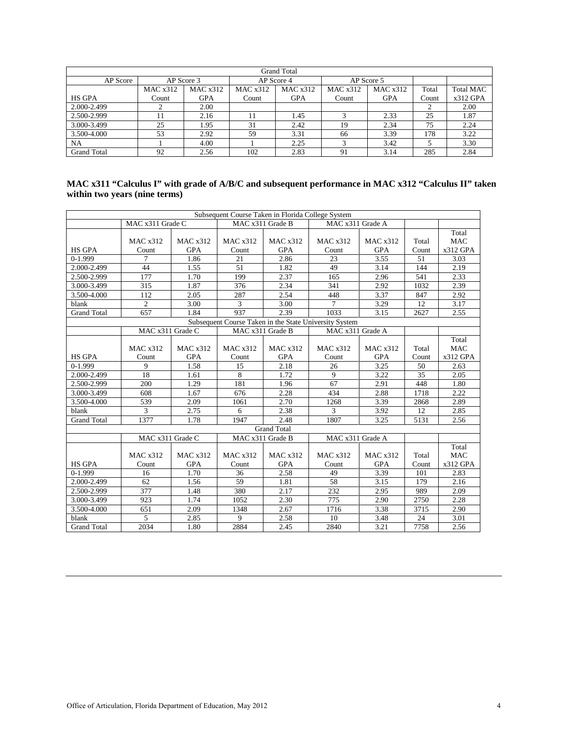|                    | <b>Grand Total</b> |            |          |            |          |            |       |                  |  |  |  |  |
|--------------------|--------------------|------------|----------|------------|----------|------------|-------|------------------|--|--|--|--|
| AP Score           | AP Score 3         |            |          | AP Score 4 |          | AP Score 5 |       |                  |  |  |  |  |
|                    | MAC x312           | MAC x312   | MAC x312 | MAC x312   | MAC x312 | MAC x312   | Total | <b>Total MAC</b> |  |  |  |  |
| <b>HS GPA</b>      | Count              | <b>GPA</b> | Count    | <b>GPA</b> | Count    | <b>GPA</b> | Count | x312 GPA         |  |  |  |  |
| 2.000-2.499        |                    | 2.00       |          |            |          |            |       | 2.00             |  |  |  |  |
| 2.500-2.999        |                    | 2.16       |          | 1.45       |          | 2.33       | 25    | 1.87             |  |  |  |  |
| 3.000-3.499        | 25                 | 1.95       | 31       | 2.42       | 19       | 2.34       | 75    | 2.24             |  |  |  |  |
| 3.500-4.000        | 53                 | 2.92       | 59       | 3.31       | 66       | 3.39       | 178   | 3.22             |  |  |  |  |
| NA                 |                    | 4.00       |          | 2.25       |          | 3.42       |       | 3.30             |  |  |  |  |
| <b>Grand Total</b> | 92                 | 2.56       | 102      | 2.83       | 91       | 3.14       | 285   | 2.84             |  |  |  |  |

# **MAC x311 "Calculus I" with grade of A/B/C and subsequent performance in MAC x312 "Calculus II" taken within two years (nine terms)**

|                                                        |                  |            |                  | Subsequent Course Taken in Florida College System |                  |            |       |            |  |  |
|--------------------------------------------------------|------------------|------------|------------------|---------------------------------------------------|------------------|------------|-------|------------|--|--|
|                                                        | MAC x311 Grade C |            | MAC x311 Grade B |                                                   | MAC x311 Grade A |            |       |            |  |  |
|                                                        |                  |            |                  |                                                   |                  |            |       | Total      |  |  |
|                                                        | MAC x312         | MAC x312   | MAC x312         | MAC x312                                          | MAC x312         | MAC x312   | Total | <b>MAC</b> |  |  |
| <b>HS GPA</b>                                          | Count            | <b>GPA</b> | Count            | <b>GPA</b>                                        | Count            | <b>GPA</b> | Count | x312 GPA   |  |  |
| $0-1.999$                                              | 7                | 1.86       | 21               | 2.86                                              | 23               | 3.55       | 51    | 3.03       |  |  |
| 2.000-2.499                                            | 44               | 1.55       | 51               | 1.82                                              | 49               | 3.14       | 144   | 2.19       |  |  |
| 2.500-2.999                                            | 177              | 1.70       | 199              | 2.37                                              | 165              | 2.96       | 541   | 2.33       |  |  |
| 3.000-3.499                                            | 315              | 1.87       | 376              | 2.34                                              | 341              | 2.92       | 1032  | 2.39       |  |  |
| 3.500-4.000                                            | 112              | 2.05       | 287              | 2.54                                              | 448              | 3.37       | 847   | 2.92       |  |  |
| blank                                                  | $\overline{2}$   | 3.00       | 3                | 3.00                                              | 7                | 3.29       | 12    | 3.17       |  |  |
| <b>Grand Total</b>                                     | 657              | 1.84       | 937              | 2.39                                              | 1033             | 3.15       | 2627  | 2.55       |  |  |
| Subsequent Course Taken in the State University System |                  |            |                  |                                                   |                  |            |       |            |  |  |
|                                                        | MAC x311 Grade C |            | MAC x311 Grade B |                                                   | MAC x311 Grade A |            |       |            |  |  |
|                                                        |                  |            |                  |                                                   |                  |            |       | Total      |  |  |
|                                                        | MAC x312         | MAC x312   | MAC x312         | MAC x312                                          | MAC x312         | MAC x312   | Total | <b>MAC</b> |  |  |
| <b>HS GPA</b>                                          | Count            | <b>GPA</b> | Count            | <b>GPA</b>                                        | Count            | <b>GPA</b> | Count | x312 GPA   |  |  |
| $0-1.999$                                              | 9                | 1.58       | 15               | 2.18                                              | 26               | 3.25       | 50    | 2.63       |  |  |
| 2.000-2.499                                            | 18               | 1.61       | 8                | 1.72                                              | 9                | 3.22       | 35    | 2.05       |  |  |
| 2.500-2.999                                            | 200              | 1.29       | 181              | 1.96                                              | 67               | 2.91       | 448   | 1.80       |  |  |
| 3.000-3.499                                            | 608              | 1.67       | 676              | 2.28                                              | 434              | 2.88       | 1718  | 2.22       |  |  |
| 3.500-4.000                                            | 539              | 2.09       | 1061             | 2.70                                              | 1268             | 3.39       | 2868  | 2.89       |  |  |
| blank                                                  | 3                | 2.75       | 6                | 2.38                                              | 3                | 3.92       | 12    | 2.85       |  |  |
| <b>Grand Total</b>                                     | 1377             | 1.78       | 1947             | 2.48                                              | 1807             | 3.25       | 5131  | 2.56       |  |  |
|                                                        |                  |            |                  | <b>Grand Total</b>                                |                  |            |       |            |  |  |
|                                                        | MAC x311 Grade C |            | MAC x311 Grade B |                                                   | MAC x311 Grade A |            |       |            |  |  |
|                                                        |                  |            |                  |                                                   |                  |            |       | Total      |  |  |
|                                                        | MAC x312         | MAC x312   | MAC x312         | MAC x312                                          | MAC x312         | MAC x312   | Total | <b>MAC</b> |  |  |
| <b>HS GPA</b>                                          | Count            | <b>GPA</b> | Count            | <b>GPA</b>                                        | Count            | <b>GPA</b> | Count | x312 GPA   |  |  |
| $0-1.999$                                              | 16               | 1.70       | 36               | 2.58                                              | 49               | 3.39       | 101   | 2.83       |  |  |
| 2.000-2.499                                            | 62               | 1.56       | 59               | 1.81                                              | 58               | 3.15       | 179   | 2.16       |  |  |
| 2.500-2.999                                            | 377              | 1.48       | 380              | 2.17                                              | 232              | 2.95       | 989   | 2.09       |  |  |
| 3.000-3.499                                            | 923              | 1.74       | 1052             | 2.30                                              | 775              | 2.90       | 2750  | 2.28       |  |  |
| 3.500-4.000                                            | 651              | 2.09       | 1348             | 2.67                                              | 1716             | 3.38       | 3715  | 2.90       |  |  |
| blank                                                  | 5                | 2.85       | 9                | 2.58                                              | 10               | 3.48       | 24    | 3.01       |  |  |
| <b>Grand Total</b>                                     | 2034             | 1.80       | 2884             | 2.45                                              | 2840             | 3.21       | 7758  | 2.56       |  |  |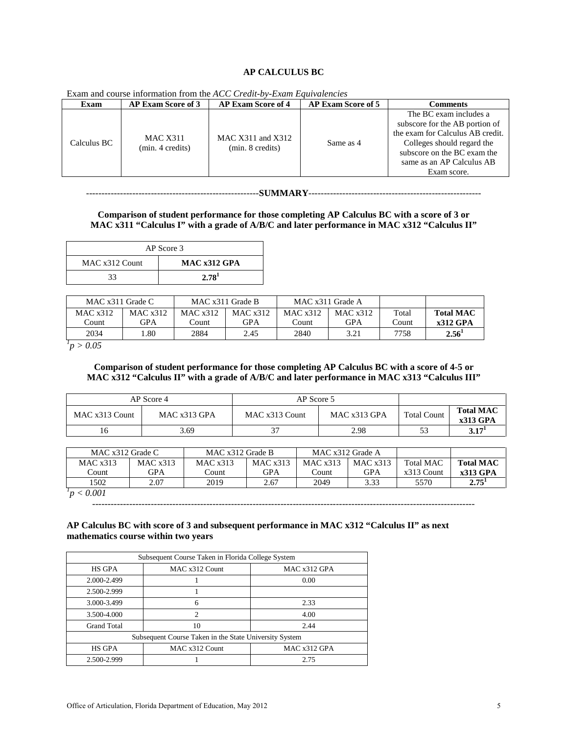### **AP CALCULUS BC**

| Exam        | <b>AP Exam Score of 3</b>           | <b>AP Exam Score of 4</b>                 | <b>AP Exam Score of 5</b> | Comments                                                                                                                                                                                              |
|-------------|-------------------------------------|-------------------------------------------|---------------------------|-------------------------------------------------------------------------------------------------------------------------------------------------------------------------------------------------------|
| Calculus BC | <b>MAC X311</b><br>(min. 4 credits) | MAC $X311$ and $X312$<br>(min. 8 credits) | Same as 4                 | The BC exam includes a<br>subscore for the AB portion of<br>the exam for Calculus AB credit.<br>Colleges should regard the<br>subscore on the BC exam the<br>same as an AP Calculus AB<br>Exam score. |

Exam and course information from the *ACC Credit-by-Exam Equivalencies*

--------------------------------------------------------**SUMMARY**--------------------------------------------------------

**Comparison of student performance for those completing AP Calculus BC with a score of 3 or MAC x311 "Calculus I" with a grade of A/B/C and later performance in MAC x312 "Calculus II"** 

| AP Score 3     |                   |  |  |  |  |  |
|----------------|-------------------|--|--|--|--|--|
| MAC x312 Count | MAC x312 GPA      |  |  |  |  |  |
| 33             | 2.78 <sup>1</sup> |  |  |  |  |  |

| MAC $x311$ Grade C |          | MAC x311 Grade B |            |            | MAC x311 Grade A |       |                   |
|--------------------|----------|------------------|------------|------------|------------------|-------|-------------------|
| MAC x312           | MAC x312 | MAC x312         | MAC x312   | MAC $x312$ | MAC $x312$       | Total | <b>Total MAC</b>  |
| Count              | GPA      | Count.           | <b>GPA</b> | Count      | GPA              | Count | $x312$ GPA        |
| 2034               | .80      | 2884             | 2.45       | 2840       | 3.21             | 7758  | 2.56 <sup>1</sup> |
| $\sim$ 0.0 $\sim$  |          |                  |            |            |                  |       |                   |

*1 p > 0.05*

### **Comparison of student performance for those completing AP Calculus BC with a score of 4-5 or MAC x312 "Calculus II" with a grade of A/B/C and later performance in MAC x313 "Calculus III"**

|                                | AP Score 4 | AP Score 5     |                |                    |                              |
|--------------------------------|------------|----------------|----------------|--------------------|------------------------------|
| MAC x313 Count<br>MAC x313 GPA |            | MAC x313 Count | MAC $x313$ GPA | <b>Total Count</b> | <b>Total MAC</b><br>x313 GPA |
| 16                             | 3.69       |                | 2.98           |                    | 3.17 <sup>1</sup>            |

| MAC $x312$ Grade C |          | MAC x312 Grade B |            | MAC x312 Grade A |            |                  |                   |
|--------------------|----------|------------------|------------|------------------|------------|------------------|-------------------|
| MAC x313           | MAC x313 | MAC x313         | MAC $x313$ | MAC x313         | MAC x313   | <b>Total MAC</b> | <b>Total MAC</b>  |
| Count              | GPA      | Count            | <b>GPA</b> | Dount:           | <b>GPA</b> | $x313$ Count     | $x313$ GPA        |
| 1502               | 2.07     | 2019             | 2.67       | 2049             | 3.33       | 5570             | 2.75 <sup>1</sup> |
| < 0.001            |          |                  |            |                  |            |                  |                   |

----------------------------------------------------------------------------------------------------------------------------

### **AP Calculus BC with score of 3 and subsequent performance in MAC x312 "Calculus II" as next mathematics course within two years**

| Subsequent Course Taken in Florida College System      |                |              |  |  |  |  |
|--------------------------------------------------------|----------------|--------------|--|--|--|--|
| <b>HS GPA</b>                                          | MAC x312 Count | MAC x312 GPA |  |  |  |  |
| 2.000-2.499                                            |                | 0.00         |  |  |  |  |
| 2.500-2.999                                            |                |              |  |  |  |  |
| 3.000-3.499                                            | 6              | 2.33         |  |  |  |  |
| 3.500-4.000                                            | $\overline{c}$ | 4.00         |  |  |  |  |
| <b>Grand Total</b>                                     | 10             | 2.44         |  |  |  |  |
| Subsequent Course Taken in the State University System |                |              |  |  |  |  |
| <b>HS GPA</b>                                          | MAC x312 Count | MAC x312 GPA |  |  |  |  |
| 2.500-2.999                                            |                | 2.75         |  |  |  |  |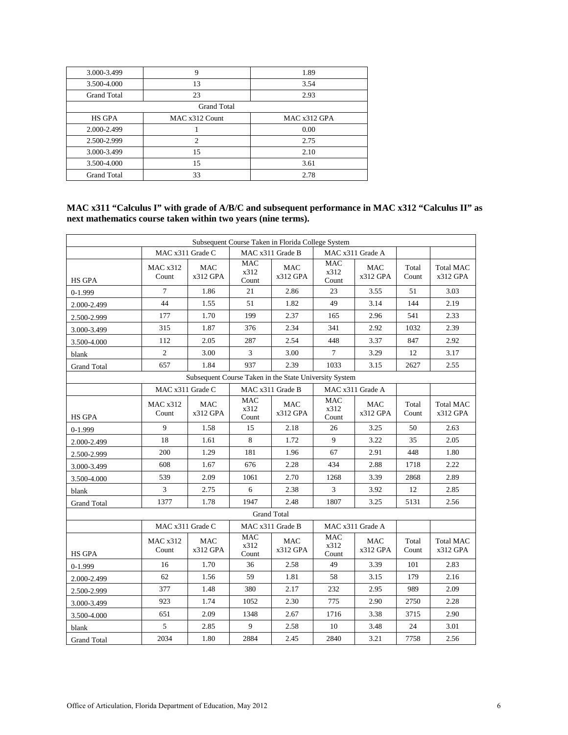| 3.000-3.499        | 9                  | 1.89         |
|--------------------|--------------------|--------------|
| 3.500-4.000        | 13                 | 3.54         |
| <b>Grand Total</b> | 23                 | 2.93         |
|                    | <b>Grand Total</b> |              |
| <b>HS GPA</b>      | MAC x312 Count     | MAC x312 GPA |
| 2.000-2.499        |                    | 0.00         |
| 2.500-2.999        | $\overline{c}$     | 2.75         |
| 3.000-3.499        | 15                 | 2.10         |
| 3.500-4.000        | 15                 | 3.61         |
| <b>Grand Total</b> | 33                 | 2.78         |

### **MAC x311 "Calculus I" with grade of A/B/C and subsequent performance in MAC x312 "Calculus II" as next mathematics course taken within two years (nine terms).**

| Subsequent Course Taken in Florida College System |                          |                 |                             |                                                        |                             |                  |                |                              |
|---------------------------------------------------|--------------------------|-----------------|-----------------------------|--------------------------------------------------------|-----------------------------|------------------|----------------|------------------------------|
|                                                   | MAC x311 Grade C         |                 |                             | MAC x311 Grade B                                       |                             | MAC x311 Grade A |                |                              |
| <b>HS GPA</b>                                     | <b>MAC x312</b><br>Count | MAC<br>x312 GPA | <b>MAC</b><br>x312<br>Count | <b>MAC</b><br>x312 GPA                                 | <b>MAC</b><br>x312<br>Count | MAC<br>x312 GPA  | Total<br>Count | <b>Total MAC</b><br>x312 GPA |
| $0-1.999$                                         | 7                        | 1.86            | 21                          | 2.86                                                   | 23                          | 3.55             | 51             | 3.03                         |
| 2.000-2.499                                       | 44                       | 1.55            | 51                          | 1.82                                                   | 49                          | 3.14             | 144            | 2.19                         |
| 2.500-2.999                                       | 177                      | 1.70            | 199                         | 2.37                                                   | 165                         | 2.96             | 541            | 2.33                         |
| 3.000-3.499                                       | 315                      | 1.87            | 376                         | 2.34                                                   | 341                         | 2.92             | 1032           | 2.39                         |
| 3.500-4.000                                       | 112                      | 2.05            | 287                         | 2.54                                                   | 448                         | 3.37             | 847            | 2.92                         |
| blank                                             | $\overline{c}$           | 3.00            | 3                           | 3.00                                                   | $\tau$                      | 3.29             | 12             | 3.17                         |
| <b>Grand Total</b>                                | 657                      | 1.84            | 937                         | 2.39                                                   | 1033                        | 3.15             | 2627           | 2.55                         |
|                                                   |                          |                 |                             | Subsequent Course Taken in the State University System |                             |                  |                |                              |
|                                                   | MAC x311 Grade C         |                 |                             | MAC x311 Grade B                                       |                             | MAC x311 Grade A |                |                              |
| <b>HS GPA</b>                                     | MAC x312<br>Count        | MAC<br>x312 GPA | <b>MAC</b><br>x312<br>Count | MAC<br>x312 GPA                                        | <b>MAC</b><br>x312<br>Count | MAC<br>x312 GPA  | Total<br>Count | <b>Total MAC</b><br>x312 GPA |
| $0-1.999$                                         | 9                        | 1.58            | 15                          | 2.18                                                   | 26                          | 3.25             | 50             | 2.63                         |
| 2.000-2.499                                       | 18                       | 1.61            | 8                           | 1.72                                                   | 9                           | 3.22             | 35             | 2.05                         |
| 2.500-2.999                                       | 200                      | 1.29            | 181                         | 1.96                                                   | 67                          | 2.91             | 448            | 1.80                         |
| 3.000-3.499                                       | 608                      | 1.67            | 676                         | 2.28                                                   | 434                         | 2.88             | 1718           | 2.22                         |
| 3.500-4.000                                       | 539                      | 2.09            | 1061                        | 2.70                                                   | 1268                        | 3.39             | 2868           | 2.89                         |
| blank                                             | 3                        | 2.75            | 6                           | 2.38                                                   | 3                           | 3.92             | 12             | 2.85                         |
| <b>Grand Total</b>                                | 1377                     | 1.78            | 1947                        | 2.48                                                   | 1807                        | 3.25             | 5131           | 2.56                         |
|                                                   |                          |                 | <b>Grand Total</b>          |                                                        |                             |                  |                |                              |
|                                                   | MAC x311 Grade C         |                 |                             | MAC x311 Grade B                                       | MAC x311 Grade A            |                  |                |                              |
| <b>HS GPA</b>                                     | <b>MAC x312</b><br>Count | MAC<br>x312 GPA | <b>MAC</b><br>x312<br>Count | MAC<br>x312 GPA                                        | <b>MAC</b><br>x312<br>Count | MAC<br>x312 GPA  | Total<br>Count | <b>Total MAC</b><br>x312 GPA |
| $0-1.999$                                         | 16                       | 1.70            | 36                          | 2.58                                                   | 49                          | 3.39             | 101            | 2.83                         |
| 2.000-2.499                                       | 62                       | 1.56            | 59                          | 1.81                                                   | 58                          | 3.15             | 179            | 2.16                         |
| 2.500-2.999                                       | 377                      | 1.48            | 380                         | 2.17                                                   | 232                         | 2.95             | 989            | 2.09                         |
| 3.000-3.499                                       | 923                      | 1.74            | 1052                        | 2.30                                                   | 775                         | 2.90             | 2750           | 2.28                         |
| 3.500-4.000                                       | 651                      | 2.09            | 1348                        | 2.67                                                   | 1716                        | 3.38             | 3715           | 2.90                         |
| blank                                             | 5                        | 2.85            | 9                           | 2.58                                                   | 10                          | 3.48             | 24             | 3.01                         |
| <b>Grand Total</b>                                | 2034                     | 1.80            | 2884                        | 2.45                                                   | 2840                        | 3.21             | 7758           | 2.56                         |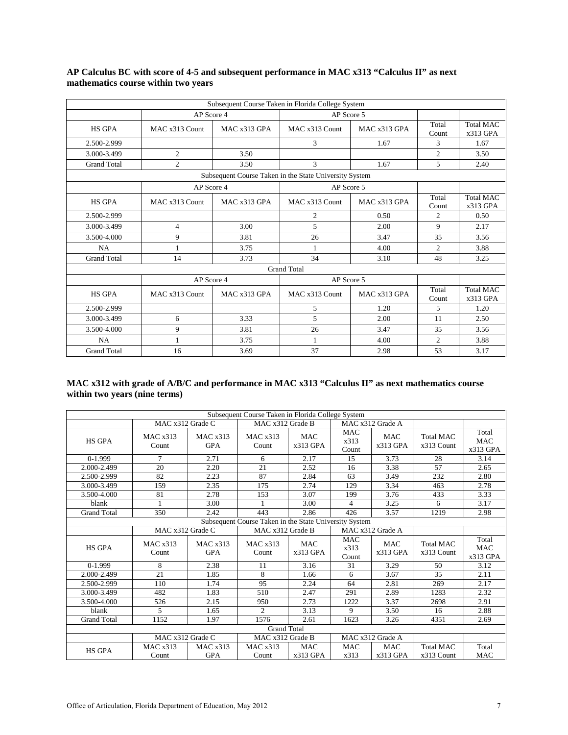|                    |                |              | Subsequent Course Taken in Florida College System      |              |                             |                                |
|--------------------|----------------|--------------|--------------------------------------------------------|--------------|-----------------------------|--------------------------------|
|                    | AP Score 4     |              |                                                        | AP Score 5   |                             |                                |
| <b>HS GPA</b>      | MAC x313 Count | MAC x313 GPA | MAC x313 Count                                         | MAC x313 GPA | Total<br>Count              | <b>Total MAC</b><br>$x313$ GPA |
| 2.500-2.999        |                |              | 3                                                      | 1.67         | 3                           | 1.67                           |
| 3.000-3.499        | $\overline{c}$ | 3.50         |                                                        |              | $\overline{c}$              | 3.50                           |
| <b>Grand Total</b> | $\overline{c}$ | 3.50         | 3                                                      | 1.67         | 5                           | 2.40                           |
|                    |                |              | Subsequent Course Taken in the State University System |              |                             |                                |
|                    | AP Score 4     |              | AP Score 5                                             |              |                             |                                |
| <b>HS GPA</b>      | MAC x313 Count | MAC x313 GPA | MAC x313 Count                                         | MAC x313 GPA | Total<br>Count              | <b>Total MAC</b><br>$x313$ GPA |
| 2.500-2.999        |                |              | $\overline{c}$                                         | 0.50         | $\overline{c}$              | 0.50                           |
| 3.000-3.499        | $\overline{4}$ | 3.00         | 5                                                      | 2.00         | 9                           | 2.17                           |
| 3.500-4.000        | 9              | 3.81         | 26                                                     | 3.47         | 35                          | 3.56                           |
| NA                 |                | 3.75         | 1                                                      | 4.00         | $\mathcal{D}_{\mathcal{L}}$ | 3.88                           |
| <b>Grand Total</b> | 14             | 3.73         | 34                                                     | 3.10         | 48                          | 3.25                           |
|                    |                |              | <b>Grand Total</b>                                     |              |                             |                                |
|                    | AP Score 4     |              | AP Score 5                                             |              |                             |                                |
| <b>HS GPA</b>      | MAC x313 Count | MAC x313 GPA | MAC x313 Count                                         | MAC x313 GPA | Total<br>Count              | <b>Total MAC</b><br>$x313$ GPA |
| 2.500-2.999        |                |              | 5                                                      | 1.20         | 5                           | 1.20                           |
| 3.000-3.499        | 6              | 3.33         | 5                                                      | 2.00         | 11                          | 2.50                           |
| 3.500-4.000        | 9              | 3.81         | 26                                                     | 3.47         | 35                          | 3.56                           |
| NA                 | 1              | 3.75         | $\mathbf{1}$                                           | 4.00         | 2                           | 3.88                           |
| <b>Grand Total</b> | 16             | 3.69         | 37                                                     | 2.98         | 53                          | 3.17                           |

### **AP Calculus BC with score of 4-5 and subsequent performance in MAC x313 "Calculus II" as next mathematics course within two years**

## **MAC x312 with grade of A/B/C and performance in MAC x313 "Calculus II" as next mathematics course within two years (nine terms)**

|                    | Subsequent Course Taken in Florida College System |                        |                                                        |                          |                             |                          |                                |                                   |
|--------------------|---------------------------------------------------|------------------------|--------------------------------------------------------|--------------------------|-----------------------------|--------------------------|--------------------------------|-----------------------------------|
|                    | MAC x312 Grade C                                  |                        | MAC x312 Grade B                                       |                          |                             | MAC x312 Grade A         |                                |                                   |
| <b>HS GPA</b>      | MAC x313<br>Count                                 | MAC x313<br><b>GPA</b> | MAC x313<br>Count                                      | <b>MAC</b><br>$x313$ GPA | <b>MAC</b><br>x313<br>Count | <b>MAC</b><br>$x313$ GPA | <b>Total MAC</b><br>x313 Count | Total<br><b>MAC</b><br>$x313$ GPA |
| $0-1.999$          | $\overline{7}$                                    | 2.71                   | 6                                                      | 2.17                     | 15                          | 3.73                     | 28                             | 3.14                              |
| 2.000-2.499        | 20                                                | 2.20                   | 21                                                     | 2.52                     | 16                          | 3.38                     | 57                             | 2.65                              |
| 2.500-2.999        | 82                                                | 2.23                   | 87                                                     | 2.84                     | 63                          | 3.49                     | 232                            | 2.80                              |
| 3.000-3.499        | 159                                               | 2.35                   | 175                                                    | 2.74                     | 129                         | 3.34                     | 463                            | 2.78                              |
| 3.500-4.000        | 81                                                | 2.78                   | 153                                                    | 3.07                     | 199                         | 3.76                     | 433                            | 3.33                              |
| blank              |                                                   | 3.00                   |                                                        | 3.00                     | $\overline{4}$              | 3.25                     | 6                              | 3.17                              |
| <b>Grand Total</b> | 350                                               | 2.42                   | 443                                                    | 2.86                     | 426                         | 3.57                     | 1219                           | 2.98                              |
|                    |                                                   |                        | Subsequent Course Taken in the State University System |                          |                             |                          |                                |                                   |
|                    | MAC x312 Grade C                                  |                        | MAC x312 Grade B                                       |                          |                             | MAC x312 Grade A         |                                |                                   |
| <b>HS GPA</b>      | MAC x313<br>Count                                 | MAC x313<br><b>GPA</b> | MAC x313<br>Count                                      | <b>MAC</b><br>$x313$ GPA | <b>MAC</b><br>x313<br>Count | <b>MAC</b><br>$x313$ GPA | <b>Total MAC</b><br>x313 Count | Total<br>MAC<br>x313 GPA          |
| $0-1.999$          | 8                                                 | 2.38                   | 11                                                     | 3.16                     | 31                          | 3.29                     | 50                             | 3.12                              |
| 2.000-2.499        | 21                                                | 1.85                   | 8                                                      | 1.66                     | 6                           | 3.67                     | 35                             | 2.11                              |
| 2.500-2.999        | 110                                               | 1.74                   | 95                                                     | 2.24                     | 64                          | 2.81                     | 269                            | 2.17                              |
| 3.000-3.499        | 482                                               | 1.83                   | 510                                                    | 2.47                     | 291                         | 2.89                     | 1283                           | 2.32                              |
| 3.500-4.000        | 526                                               | 2.15                   | 950                                                    | 2.73                     | 1222                        | 3.37                     | 2698                           | 2.91                              |
| blank              | 5                                                 | 1.65                   | $\overline{c}$                                         | 3.13                     | 9                           | 3.50                     | 16                             | 2.88                              |
| <b>Grand Total</b> | 1152                                              | 1.97                   | 1576                                                   | 2.61                     | 1623                        | 3.26                     | 4351                           | 2.69                              |
|                    |                                                   |                        | <b>Grand Total</b>                                     |                          |                             |                          |                                |                                   |
|                    | MAC x312 Grade C                                  |                        | MAC x312 Grade B                                       |                          |                             | MAC x312 Grade A         |                                |                                   |
| <b>HS GPA</b>      | MAC x313                                          | MAC x313               | MAC x313                                               | <b>MAC</b>               | <b>MAC</b>                  | <b>MAC</b>               | <b>Total MAC</b>               | Total                             |
|                    | Count                                             | <b>GPA</b>             | Count                                                  | $x313$ GPA               | x313                        | $x313$ GPA               | x313 Count                     | <b>MAC</b>                        |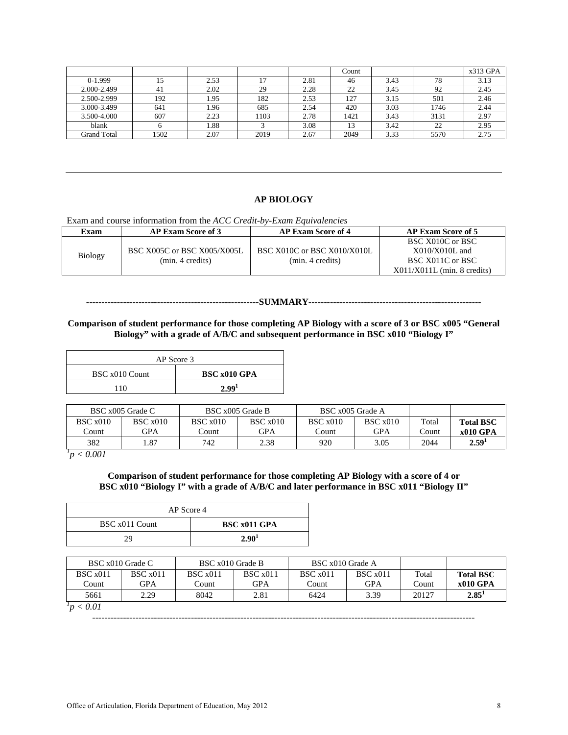|             |      |      |      |      | Count |      |      | $x313$ GPA |
|-------------|------|------|------|------|-------|------|------|------------|
| $0-1.999$   |      | 2.53 |      | 2.81 | 46    | 3.43 | 78   | 3.13       |
| 2.000-2.499 | 41   | 2.02 | 29   | 2.28 | 22    | 3.45 | 92   | 2.45       |
| 2.500-2.999 | 192  | 1.95 | 182  | 2.53 | 127   | 3.15 | 501  | 2.46       |
| 3.000-3.499 | 641  | 1.96 | 685  | 2.54 | 420   | 3.03 | 1746 | 2.44       |
| 3.500-4.000 | 607  | 2.23 | 1103 | 2.78 | 1421  | 3.43 | 3131 | 2.97       |
| blank       |      | 1.88 |      | 3.08 | 13    | 3.42 | 22   | 2.95       |
| Grand Total | 1502 | 2.07 | 2019 | 2.67 | 2049  | 3.33 | 5570 | 2.75       |

### **AP BIOLOGY**

Exam and course information from the *ACC Credit-by-Exam Equivalencies*

| Exam           | <b>AP Exam Score of 3</b>   | <b>AP Exam Score of 4</b>   | <b>AP Exam Score of 5</b>     |
|----------------|-----------------------------|-----------------------------|-------------------------------|
|                |                             |                             | BSC X010C or BSC              |
|                | BSC X005C or BSC X005/X005L | BSC X010C or BSC X010/X010L | $X010/X010L$ and              |
| <b>Biology</b> | (min. 4 credits)            | (min. 4 credits)            | BSC X011C or BSC              |
|                |                             |                             | $X011/X011L$ (min. 8 credits) |

#### --------------------------------------------------------**SUMMARY**--------------------------------------------------------

**Comparison of student performance for those completing AP Biology with a score of 3 or BSC x005 "General Biology" with a grade of A/B/C and subsequent performance in BSC x010 "Biology I"** 

| AP Score 3     |                     |  |  |  |  |
|----------------|---------------------|--|--|--|--|
| BSC x010 Count | <b>BSC x010 GPA</b> |  |  |  |  |
| 110            | 2.99 <sup>1</sup>   |  |  |  |  |

|          | BSC x005 Grade C |          | BSC x005 Grade B | BSC x005 Grade A |          |        |                  |
|----------|------------------|----------|------------------|------------------|----------|--------|------------------|
| BSC x010 | BSC x010         | BSC x010 | BSC x010         | BSC x010         | BSC x010 | Total  | <b>Total BSC</b> |
| Count    | GPA              | Count    | GPA              | Count            | GPA      | .`ount | <b>x010 GPA</b>  |
| 382      | . 87             | 742      | 2.38             | 920              | 3.05     | 2044   | 2.59'            |

*1 p < 0.001*

### **Comparison of student performance for those completing AP Biology with a score of 4 or BSC x010 "Biology I" with a grade of A/B/C and later performance in BSC x011 "Biology II"**

| AP Score 4     |                   |  |  |
|----------------|-------------------|--|--|
| BSC x011 Count | BSC x011 GPA      |  |  |
| 29             | 2.90 <sup>1</sup> |  |  |

|          | BSC x010 Grade C | BSC x010 Grade B |          | BSC x010 Grade A |            |       |                   |
|----------|------------------|------------------|----------|------------------|------------|-------|-------------------|
| BSC x011 | BSC x011         | BSC x011         | BSC x011 | BSC x011         | BSC x011   | Total | <b>Total BSC</b>  |
| Count    | GPA              | Count            | GPA      | Count            | <b>GPA</b> | Count | x010 GPA          |
| 5661     | 2.29             | 8042             | 2.81     | 6424             | 3.39       | 20127 | 2.85 <sup>1</sup> |
| < 0.01   |                  |                  |          |                  |            |       |                   |

----------------------------------------------------------------------------------------------------------------------------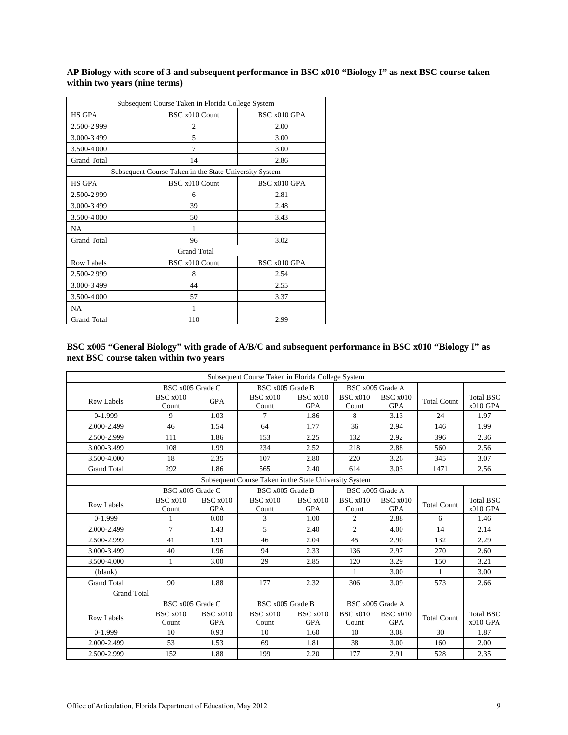| Subsequent Course Taken in Florida College System      |                    |              |  |  |  |  |  |
|--------------------------------------------------------|--------------------|--------------|--|--|--|--|--|
| <b>HS GPA</b>                                          | BSC x010 Count     | BSC x010 GPA |  |  |  |  |  |
| 2.500-2.999                                            | 2                  | 2.00         |  |  |  |  |  |
| 3.000-3.499                                            | 5                  | 3.00         |  |  |  |  |  |
| 3.500-4.000                                            | 7                  | 3.00         |  |  |  |  |  |
| <b>Grand Total</b>                                     | 14                 | 2.86         |  |  |  |  |  |
| Subsequent Course Taken in the State University System |                    |              |  |  |  |  |  |
| <b>HS GPA</b>                                          | BSC x010 Count     | BSC x010 GPA |  |  |  |  |  |
| 2.500-2.999                                            | 6                  | 2.81         |  |  |  |  |  |
| 3.000-3.499                                            | 39                 | 2.48         |  |  |  |  |  |
| 3.500-4.000                                            | 50                 | 3.43         |  |  |  |  |  |
| NA                                                     | 1                  |              |  |  |  |  |  |
| <b>Grand Total</b>                                     | 96                 | 3.02         |  |  |  |  |  |
|                                                        | <b>Grand Total</b> |              |  |  |  |  |  |
| <b>Row Labels</b>                                      | BSC x010 Count     | BSC x010 GPA |  |  |  |  |  |
| 2.500-2.999                                            | 8                  | 2.54         |  |  |  |  |  |
| 3.000-3.499                                            | 44                 | 2.55         |  |  |  |  |  |
| 3.500-4.000                                            | 57                 | 3.37         |  |  |  |  |  |
| <b>NA</b>                                              | 1                  |              |  |  |  |  |  |
| <b>Grand Total</b>                                     | 110                | 2.99         |  |  |  |  |  |

**AP Biology with score of 3 and subsequent performance in BSC x010 "Biology I" as next BSC course taken within two years (nine terms)**

### **BSC x005 "General Biology" with grade of A/B/C and subsequent performance in BSC x010 "Biology I" as next BSC course taken within two years**

|                    | Subsequent Course Taken in Florida College System |                               |                                                        |                                      |                          |                               |                    |                                |  |
|--------------------|---------------------------------------------------|-------------------------------|--------------------------------------------------------|--------------------------------------|--------------------------|-------------------------------|--------------------|--------------------------------|--|
|                    | BSC x005 Grade C                                  |                               | BSC x005 Grade B                                       |                                      |                          | BSC x005 Grade A              |                    |                                |  |
| <b>Row Labels</b>  | <b>BSC</b> x010<br>Count                          | <b>GPA</b>                    | <b>BSC</b> x010<br>Count                               | <b>BSC x010</b><br><b>GPA</b>        | <b>BSC</b> x010<br>Count | <b>BSC</b> x010<br><b>GPA</b> | <b>Total Count</b> | <b>Total BSC</b><br>$x010$ GPA |  |
| $0-1.999$          | 9                                                 | 1.03                          | $\tau$                                                 | 1.86                                 | 8                        | 3.13                          | 24                 | 1.97                           |  |
| 2.000-2.499        | 46                                                | 1.54                          | 64                                                     | 1.77                                 | 36                       | 2.94                          | 146                | 1.99                           |  |
| 2.500-2.999        | 111                                               | 1.86                          | 153                                                    | 2.25                                 | 132                      | 2.92                          | 396                | 2.36                           |  |
| 3.000-3.499        | 108                                               | 1.99                          | 234                                                    | 2.52                                 | 218                      | 2.88                          | 560                | 2.56                           |  |
| 3.500-4.000        | 18                                                | 2.35                          | 107                                                    | 2.80                                 | 220                      | 3.26                          | 345                | 3.07                           |  |
| <b>Grand Total</b> | 292                                               | 1.86                          | 565                                                    | 2.40                                 | 614                      | 3.03                          | 1471               | 2.56                           |  |
|                    |                                                   |                               | Subsequent Course Taken in the State University System |                                      |                          |                               |                    |                                |  |
|                    | BSC x005 Grade C                                  |                               |                                                        | BSC x005 Grade B<br>BSC x005 Grade A |                          |                               |                    |                                |  |
| <b>Row Labels</b>  | <b>BSC x010</b><br>Count                          | <b>BSC x010</b><br><b>GPA</b> | <b>BSC x010</b><br>Count                               | <b>BSC x010</b><br><b>GPA</b>        | <b>BSC x010</b><br>Count | <b>BSC x010</b><br><b>GPA</b> | <b>Total Count</b> | <b>Total BSC</b><br>$x010$ GPA |  |
| $0-1.999$          | 1                                                 | 0.00                          | 3                                                      | 1.00                                 | $\overline{c}$           | 2.88                          | 6                  | 1.46                           |  |
| 2.000-2.499        | $\tau$                                            | 1.43                          | 5                                                      | 2.40                                 | $\overline{c}$           | 4.00                          | 14                 | 2.14                           |  |
| 2.500-2.999        | 41                                                | 1.91                          | 46                                                     | 2.04                                 | 45                       | 2.90                          | 132                | 2.29                           |  |
| 3.000-3.499        | 40                                                | 1.96                          | 94                                                     | 2.33                                 | 136                      | 2.97                          | 270                | 2.60                           |  |
| 3.500-4.000        | $\mathbf{1}$                                      | 3.00                          | 29                                                     | 2.85                                 | 120                      | 3.29                          | 150                | 3.21                           |  |
| (blank)            |                                                   |                               |                                                        |                                      | $\mathbf{1}$             | 3.00                          | $\mathbf{1}$       | 3.00                           |  |
| <b>Grand Total</b> | 90                                                | 1.88                          | 177                                                    | 2.32                                 | 306                      | 3.09                          | 573                | 2.66                           |  |
| <b>Grand Total</b> |                                                   |                               |                                                        |                                      |                          |                               |                    |                                |  |
|                    | BSC x005 Grade C                                  |                               | BSC x005 Grade B                                       |                                      |                          | BSC x005 Grade A              |                    |                                |  |
| <b>Row Labels</b>  | <b>BSC x010</b><br>Count                          | <b>BSC x010</b><br><b>GPA</b> | <b>BSC x010</b><br>Count                               | <b>BSC x010</b><br><b>GPA</b>        | <b>BSC x010</b><br>Count | <b>BSC x010</b><br><b>GPA</b> | <b>Total Count</b> | <b>Total BSC</b><br>$x010$ GPA |  |
| $0-1.999$          | 10                                                | 0.93                          | 10                                                     | 1.60                                 | 10                       | 3.08                          | 30                 | 1.87                           |  |
| 2.000-2.499        | 53                                                | 1.53                          | 69                                                     | 1.81                                 | 38                       | 3.00                          | 160                | 2.00                           |  |
| 2.500-2.999        | 152                                               | 1.88                          | 199                                                    | 2.20                                 | 177                      | 2.91                          | 528                | 2.35                           |  |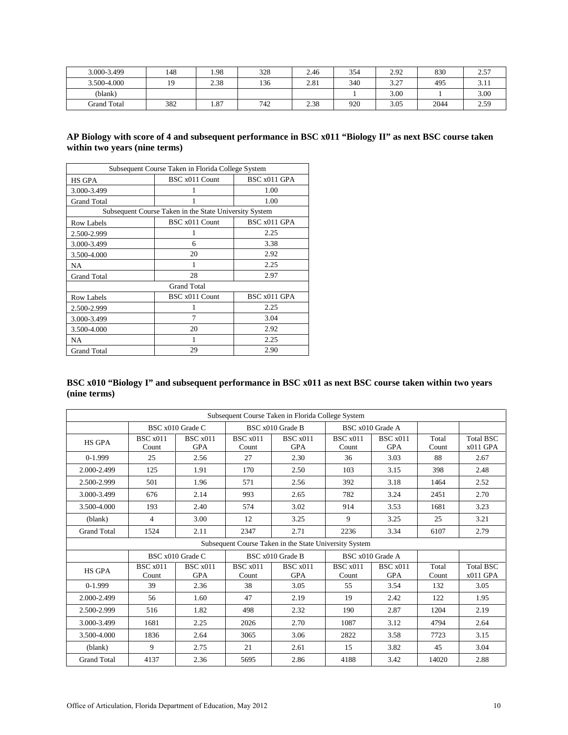| 3.000-3.499        | 148            | 1.98 | 328 | 2.46 | 354 | 2.92 | 830  | רת ה<br>ر. ت |
|--------------------|----------------|------|-----|------|-----|------|------|--------------|
| 3.500-4.000        | 1 <sub>Q</sub> | 2.38 | 136 | 2.81 | 340 | 3.27 | 495  | <b>J.II</b>  |
| (blank)            |                |      |     |      |     | 3.00 |      | 3.00         |
| <b>Grand Total</b> | 382            | 1.87 | 742 | 2.38 | 920 | 3.05 | 2044 | 2.59         |

## **AP Biology with score of 4 and subsequent performance in BSC x011 "Biology II" as next BSC course taken within two years (nine terms)**

| Subsequent Course Taken in Florida College System |                                                        |              |  |  |  |  |  |
|---------------------------------------------------|--------------------------------------------------------|--------------|--|--|--|--|--|
| <b>HS GPA</b>                                     | BSC x011 Count                                         | BSC x011 GPA |  |  |  |  |  |
| 3.000-3.499                                       |                                                        | 1.00         |  |  |  |  |  |
| <b>Grand Total</b>                                |                                                        | 1.00         |  |  |  |  |  |
|                                                   | Subsequent Course Taken in the State University System |              |  |  |  |  |  |
| <b>Row Labels</b>                                 | BSC x011 Count                                         | BSC x011 GPA |  |  |  |  |  |
| 2.500-2.999                                       |                                                        | 2.25         |  |  |  |  |  |
| 3.000-3.499                                       | 6                                                      | 3.38         |  |  |  |  |  |
| 3.500-4.000                                       | 20                                                     | 2.92         |  |  |  |  |  |
| <b>NA</b>                                         |                                                        | 2.25         |  |  |  |  |  |
| <b>Grand Total</b>                                | 28                                                     | 2.97         |  |  |  |  |  |
|                                                   | <b>Grand Total</b>                                     |              |  |  |  |  |  |
| <b>Row Labels</b>                                 | BSC x011 Count                                         | BSC x011 GPA |  |  |  |  |  |
| 2.500-2.999                                       |                                                        | 2.25         |  |  |  |  |  |
| 3.000-3.499                                       | 7                                                      | 3.04         |  |  |  |  |  |
| 3.500-4.000                                       | 20                                                     | 2.92         |  |  |  |  |  |
| NA                                                |                                                        | 2.25         |  |  |  |  |  |
| <b>Grand Total</b>                                | 29                                                     | 2.90         |  |  |  |  |  |

## **BSC x010 "Biology I" and subsequent performance in BSC x011 as next BSC course taken within two years (nine terms)**

|                    |                          |                               |                          | Subsequent Course Taken in Florida College System      |                          |                               |                |                                |
|--------------------|--------------------------|-------------------------------|--------------------------|--------------------------------------------------------|--------------------------|-------------------------------|----------------|--------------------------------|
|                    |                          | BSC x010 Grade C              |                          | BSC x010 Grade B                                       |                          | BSC x010 Grade A              |                |                                |
| <b>HS GPA</b>      | <b>BSC</b> x011<br>Count | BSC x011<br><b>GPA</b>        | <b>BSC</b> x011<br>Count | <b>BSC</b> x011<br><b>GPA</b>                          | BSC x011<br>Count        | BSC x011<br><b>GPA</b>        | Total<br>Count | <b>Total BSC</b><br>$x011$ GPA |
| $0-1.999$          | 25                       | 2.56                          | 27                       | 2.30                                                   | 36                       | 3.03                          | 88             | 2.67                           |
| 2.000-2.499        | 125                      | 1.91                          | 170                      | 2.50                                                   | 103                      | 3.15                          | 398            | 2.48                           |
| 2.500-2.999        | 501                      | 1.96                          | 571                      | 2.56                                                   | 392                      | 3.18                          | 1464           | 2.52                           |
| 3.000-3.499        | 676                      | 2.14                          | 993                      | 2.65                                                   | 782                      | 3.24                          | 2451           | 2.70                           |
| 3.500-4.000        | 193                      | 2.40                          | 574                      | 3.02                                                   | 914                      | 3.53                          | 1681           | 3.23                           |
| (blank)            | 4                        | 3.00                          | 12                       | 3.25                                                   | 9                        | 3.25                          | 25             | 3.21                           |
| <b>Grand Total</b> | 1524                     | 2.11                          | 2347                     | 2.71                                                   | 2236                     | 3.34                          | 6107           | 2.79                           |
|                    |                          |                               |                          | Subsequent Course Taken in the State University System |                          |                               |                |                                |
|                    |                          | BSC x010 Grade C              |                          | BSC x010 Grade B                                       |                          | BSC x010 Grade A              |                |                                |
| <b>HS GPA</b>      | <b>BSC</b> x011<br>Count | <b>BSC</b> x011<br><b>GPA</b> | <b>BSC</b> x011<br>Count | <b>BSC</b> x011<br><b>GPA</b>                          | <b>BSC</b> x011<br>Count | <b>BSC</b> x011<br><b>GPA</b> | Total<br>Count | <b>Total BSC</b><br>$x011$ GPA |
| $0-1.999$          | 39                       | 2.36                          | 38                       | 3.05                                                   | 55                       | 3.54                          | 132            | 3.05                           |
| 2.000-2.499        | 56                       | 1.60                          | 47                       | 2.19                                                   | 19                       | 2.42                          | 122            | 1.95                           |
| 2.500-2.999        | 516                      | 1.82                          | 498                      | 2.32                                                   | 190                      | 2.87                          | 1204           | 2.19                           |
| 3.000-3.499        | 1681                     | 2.25                          | 2026                     | 2.70                                                   | 1087                     | 3.12                          | 4794           | 2.64                           |
| 3.500-4.000        | 1836                     | 2.64                          | 3065                     | 3.06                                                   | 2822                     | 3.58                          | 7723           | 3.15                           |
| (blank)            | 9                        | 2.75                          | 21                       | 2.61                                                   | 15                       | 3.82                          | 45             | 3.04                           |
| <b>Grand Total</b> | 4137                     | 2.36                          | 5695                     | 2.86                                                   | 4188                     | 3.42                          | 14020          | 2.88                           |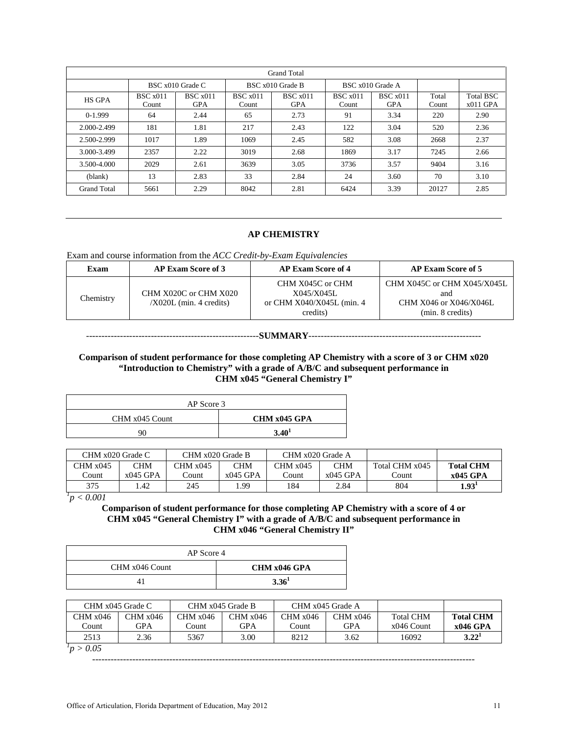| <b>Grand Total</b> |                          |                        |                          |                        |                          |                        |                |                                |  |  |  |  |
|--------------------|--------------------------|------------------------|--------------------------|------------------------|--------------------------|------------------------|----------------|--------------------------------|--|--|--|--|
|                    |                          | BSC x010 Grade C       |                          | BSC x010 Grade B       | BSC x010 Grade A         |                        |                |                                |  |  |  |  |
| <b>HS GPA</b>      | <b>BSC</b> x011<br>Count | BSC x011<br><b>GPA</b> | <b>BSC</b> x011<br>Count | BSC x011<br><b>GPA</b> | <b>BSC</b> x011<br>Count | BSC x011<br><b>GPA</b> | Total<br>Count | <b>Total BSC</b><br>$x011$ GPA |  |  |  |  |
| $0-1.999$          | 64                       | 2.44                   | 65                       | 2.73                   | 91                       | 3.34                   | 220            | 2.90                           |  |  |  |  |
| 2.000-2.499        | 181                      | 1.81                   | 217                      | 2.43                   | 122                      | 3.04                   | 520            | 2.36                           |  |  |  |  |
| 2.500-2.999        | 1017                     | 1.89                   | 1069                     | 2.45                   | 582                      | 3.08                   | 2668           | 2.37                           |  |  |  |  |
| 3.000-3.499        | 2357                     | 2.22                   | 3019                     | 2.68                   | 1869                     | 3.17                   | 7245           | 2.66                           |  |  |  |  |
| 3.500-4.000        | 2029                     | 2.61                   | 3639                     | 3.05                   | 3736                     | 3.57                   | 9404           | 3.16                           |  |  |  |  |
| (blank)            | 13                       | 2.83                   | 33                       | 2.84                   | 24                       | 3.60                   | 70             | 3.10                           |  |  |  |  |
| <b>Grand Total</b> | 5661                     | 2.29                   | 8042                     | 2.81                   | 6424                     | 3.39                   | 20127          | 2.85                           |  |  |  |  |

#### **AP CHEMISTRY**

#### Exam and course information from the *ACC Credit-by-Exam Equivalencies*

| Exam      | <b>AP Exam Score of 3</b>                          | <b>AP Exam Score of 4</b>                                               | <b>AP Exam Score of 5</b>                                                        |
|-----------|----------------------------------------------------|-------------------------------------------------------------------------|----------------------------------------------------------------------------------|
| Chemistry | CHM X020C or CHM X020<br>$/X020L$ (min. 4 credits) | CHM X045C or CHM<br>X045/X045L<br>or CHM X040/X045L (min. 4<br>credits) | CHM X045C or CHM X045/X045L<br>and<br>CHM X046 or X046/X046L<br>(min. 8 credits) |

#### --------------------------------------------------------**SUMMARY**--------------------------------------------------------

### **Comparison of student performance for those completing AP Chemistry with a score of 3 or CHM x020 "Introduction to Chemistry" with a grade of A/B/C and subsequent performance in CHM x045 "General Chemistry I"**

| AP Score 3     |                   |
|----------------|-------------------|
| CHM x045 Count | CHM x045 GPA      |
| 90             | 3.40 <sup>1</sup> |

| CHM x020 Grade C |            | CHM x020 Grade B |            | CHM x020 Grade A |            |                |                   |
|------------------|------------|------------------|------------|------------------|------------|----------------|-------------------|
| CHM x045         | CHM        | CHM x045         | CHM        | CHM x045         | CHM        | Total CHM x045 | <b>Total CHM</b>  |
| Count            | $x045$ GPA | `ount            | $x045$ GPA | Count.           | $x045$ GPA | .'ount         | x045 GPA          |
| 375              | .42        | 245              | .99        | 184              | 2.84       | 804            | 1.93 <sup>1</sup> |

*1 p < 0.001*

**Comparison of student performance for those completing AP Chemistry with a score of 4 or CHM x045 "General Chemistry I" with a grade of A/B/C and subsequent performance in CHM x046 "General Chemistry II"**

| AP Score 4     |                   |
|----------------|-------------------|
| CHM x046 Count | CHM x046 GPA      |
|                | 3.36 <sup>1</sup> |

|                      | CHM x045 Grade C |          | CHM x045 Grade B | CHM x045 Grade A |          |                  |                   |
|----------------------|------------------|----------|------------------|------------------|----------|------------------|-------------------|
| CHM x046             | CHM x046         | CHM x046 | CHM x046         | CHM x046         | CHM x046 | <b>Total CHM</b> | <b>Total CHM</b>  |
| Count                | GPA              | Count    | GPA              | ∑ount            | GPA      | $x046$ Count     | x046 GPA          |
| 2513                 | 2.36             | 5367     | 3.00             | 8212             | 3.62     | 16092            | 3.22 <sup>1</sup> |
| $\sim$ $\sim$ $\sim$ |                  |          |                  |                  |          |                  |                   |

*1 p > 0.05*

----------------------------------------------------------------------------------------------------------------------------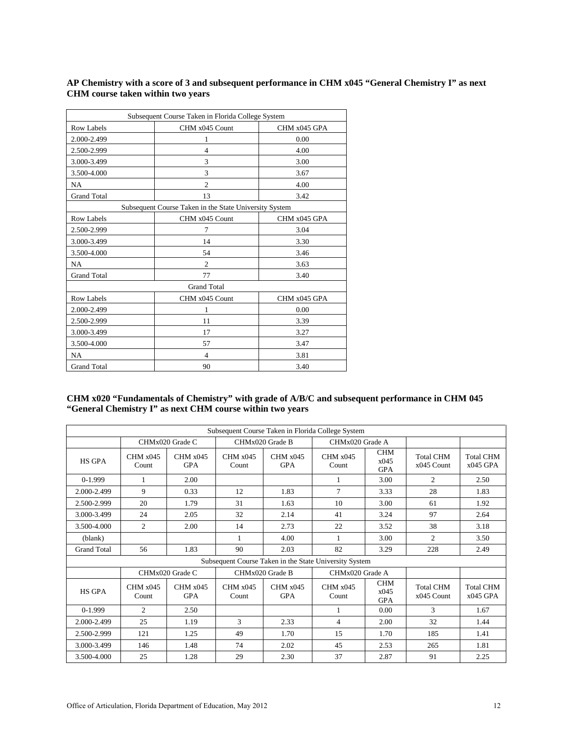## **AP Chemistry with a score of 3 and subsequent performance in CHM x045 "General Chemistry I" as next CHM course taken within two years**

| Subsequent Course Taken in Florida College System |                                                        |              |  |  |  |  |  |
|---------------------------------------------------|--------------------------------------------------------|--------------|--|--|--|--|--|
| <b>Row Labels</b>                                 | CHM x045 Count                                         | CHM x045 GPA |  |  |  |  |  |
| 2.000-2.499                                       | 1                                                      | 0.00         |  |  |  |  |  |
| 2.500-2.999                                       | $\overline{4}$                                         | 4.00         |  |  |  |  |  |
| 3.000-3.499                                       | 3                                                      | 3.00         |  |  |  |  |  |
| 3.500-4.000                                       | 3                                                      | 3.67         |  |  |  |  |  |
| <b>NA</b>                                         | $\overline{c}$                                         | 4.00         |  |  |  |  |  |
| <b>Grand Total</b>                                | 13                                                     | 3.42         |  |  |  |  |  |
|                                                   | Subsequent Course Taken in the State University System |              |  |  |  |  |  |
| <b>Row Labels</b>                                 | CHM x045 Count                                         | CHM x045 GPA |  |  |  |  |  |
| 2.500-2.999                                       | 7                                                      | 3.04         |  |  |  |  |  |
| 3.000-3.499                                       | 14                                                     | 3.30         |  |  |  |  |  |
| 3.500-4.000                                       | 54                                                     | 3.46         |  |  |  |  |  |
| <b>NA</b>                                         | $\overline{c}$                                         | 3.63         |  |  |  |  |  |
| <b>Grand Total</b>                                | 77                                                     | 3.40         |  |  |  |  |  |
|                                                   | <b>Grand Total</b>                                     |              |  |  |  |  |  |
| <b>Row Labels</b>                                 | CHM x045 Count                                         | CHM x045 GPA |  |  |  |  |  |
| 2.000-2.499                                       | 1                                                      | 0.00         |  |  |  |  |  |
| 2.500-2.999                                       | 11                                                     | 3.39         |  |  |  |  |  |
| 3.000-3.499                                       | 17                                                     | 3.27         |  |  |  |  |  |
| 3.500-4.000                                       | 57                                                     | 3.47         |  |  |  |  |  |
| <b>NA</b>                                         | $\overline{4}$                                         | 3.81         |  |  |  |  |  |
| <b>Grand Total</b>                                | 90                                                     | 3.40         |  |  |  |  |  |

### **CHM x020 "Fundamentals of Chemistry" with grade of A/B/C and subsequent performance in CHM 045 "General Chemistry I" as next CHM course within two years**

|                    | Subsequent Course Taken in Florida College System |                        |                   |                        |                                                        |                                  |                                  |                                |  |  |
|--------------------|---------------------------------------------------|------------------------|-------------------|------------------------|--------------------------------------------------------|----------------------------------|----------------------------------|--------------------------------|--|--|
|                    |                                                   | CHMx020 Grade C        |                   | CHMx020 Grade B        | CHMx020 Grade A                                        |                                  |                                  |                                |  |  |
| <b>HS GPA</b>      | CHM x045<br>Count                                 | CHM x045<br><b>GPA</b> | CHM x045<br>Count | CHM x045<br><b>GPA</b> | CHM x045<br>Count                                      | <b>CHM</b><br>x045<br><b>GPA</b> | <b>Total CHM</b><br>x045 Count   | <b>Total CHM</b><br>$x045$ GPA |  |  |
| $0-1.999$          | 1                                                 | 2.00                   |                   |                        | 1                                                      | 3.00                             | $\overline{c}$                   | 2.50                           |  |  |
| 2.000-2.499        | 9                                                 | 0.33                   | 12                | 1.83                   | 7                                                      | 3.33                             | 28                               | 1.83                           |  |  |
| 2.500-2.999        | 20                                                | 1.79                   | 31                | 1.63                   | 10                                                     | 3.00                             | 61                               | 1.92                           |  |  |
| 3.000-3.499        | 24                                                | 2.05                   | 32                | 2.14                   | 41                                                     | 3.24                             | 97                               | 2.64                           |  |  |
| 3.500-4.000        | 2                                                 | 2.00                   | 14                | 2.73                   | 22                                                     | 3.52                             | 38                               | 3.18                           |  |  |
| (blank)            |                                                   |                        | 1                 | 4.00                   | 1                                                      | 3.00                             | $\overline{c}$                   | 3.50                           |  |  |
| <b>Grand Total</b> | 56                                                | 1.83                   | 90                | 2.03                   | 82                                                     | 3.29                             | 228                              | 2.49                           |  |  |
|                    |                                                   |                        |                   |                        | Subsequent Course Taken in the State University System |                                  |                                  |                                |  |  |
|                    |                                                   | CHMx020 Grade C        |                   | CHMx020 Grade B        | CHMx020 Grade A                                        |                                  |                                  |                                |  |  |
| <b>HS GPA</b>      | CHM x045<br>Count                                 | CHM x045<br><b>GPA</b> | CHM x045<br>Count | CHM x045<br><b>GPA</b> | CHM x045<br>Count                                      | <b>CHM</b><br>x045<br><b>GPA</b> | <b>Total CHM</b><br>$x045$ Count | <b>Total CHM</b><br>$x045$ GPA |  |  |
| $0-1.999$          | $\overline{c}$                                    | 2.50                   |                   |                        | 1                                                      | 0.00                             | 3                                | 1.67                           |  |  |
| 2.000-2.499        | 25                                                | 1.19                   | 3                 | 2.33                   | $\overline{4}$                                         | 2.00                             | 32                               | 1.44                           |  |  |
| 2.500-2.999        | 121                                               | 1.25                   | 49                | 1.70                   | 15                                                     | 1.70                             | 185                              | 1.41                           |  |  |
| 3.000-3.499        | 146                                               | 1.48                   | 74                | 2.02                   | 45                                                     | 2.53                             | 265                              | 1.81                           |  |  |
| 3.500-4.000        | 25                                                | 1.28                   | 29                | 2.30                   | 37                                                     | 2.87                             | 91                               | 2.25                           |  |  |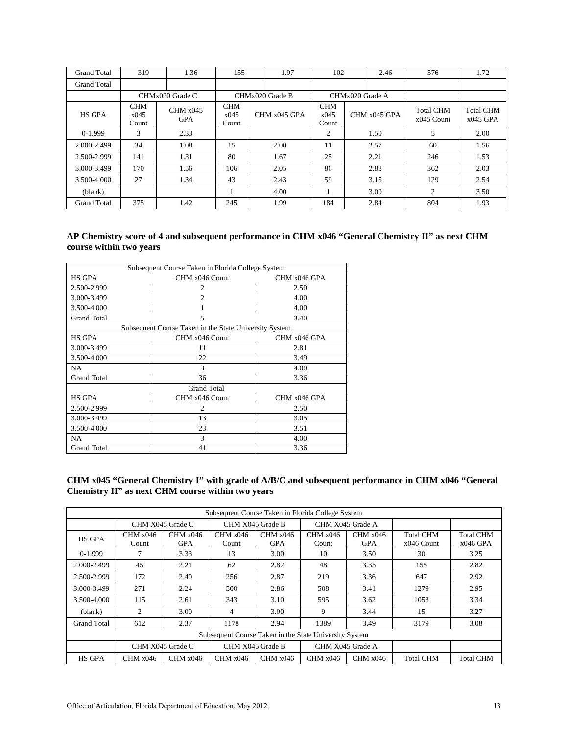| <b>Grand Total</b> | 319                         | 1.36                   | 155                         |  | 1.97            | 102                         |  | 2.46           | 576                              | 1.72                           |
|--------------------|-----------------------------|------------------------|-----------------------------|--|-----------------|-----------------------------|--|----------------|----------------------------------|--------------------------------|
| <b>Grand Total</b> |                             |                        |                             |  |                 |                             |  |                |                                  |                                |
|                    | CHMx020 Grade C             |                        | CHMx020 Grade B             |  | CHMx020 Grade A |                             |  |                |                                  |                                |
| <b>HS GPA</b>      | <b>CHM</b><br>x045<br>Count | CHM x045<br><b>GPA</b> | <b>CHM</b><br>x045<br>Count |  | CHM x045 GPA    | <b>CHM</b><br>x045<br>Count |  | $CHM x045$ GPA | <b>Total CHM</b><br>$x045$ Count | <b>Total CHM</b><br>$x045$ GPA |
| $0-1.999$          | 3                           | 2.33                   |                             |  |                 | 2                           |  | 1.50           | 5                                | 2.00                           |
| 2.000-2.499        | 34                          | 1.08                   | 15                          |  | 2.00            | 11                          |  | 2.57           | 60                               | 1.56                           |
| 2.500-2.999        | 141                         | 1.31                   | 80                          |  | 1.67            | 25                          |  | 2.21           | 246                              | 1.53                           |
| 3.000-3.499        | 170                         | 1.56                   | 106                         |  | 2.05            | 86                          |  | 2.88           | 362                              | 2.03                           |
| 3.500-4.000        | 27                          | 1.34                   | 43                          |  | 2.43            | 59                          |  | 3.15           | 129                              | 2.54                           |
| (blank)            |                             |                        |                             |  | 4.00            |                             |  | 3.00           | 2                                | 3.50                           |
| <b>Grand Total</b> | 375                         | 1.42                   | 245                         |  | 1.99            | 184                         |  | 2.84           | 804                              | 1.93                           |

## **AP Chemistry score of 4 and subsequent performance in CHM x046 "General Chemistry II" as next CHM course within two years**

| Subsequent Course Taken in Florida College System      |                    |              |  |  |  |  |  |  |  |
|--------------------------------------------------------|--------------------|--------------|--|--|--|--|--|--|--|
| <b>HS GPA</b>                                          | CHM x046 Count     | CHM x046 GPA |  |  |  |  |  |  |  |
| 2.500-2.999                                            | $\overline{c}$     | 2.50         |  |  |  |  |  |  |  |
| 3.000-3.499                                            | $\overline{c}$     | 4.00         |  |  |  |  |  |  |  |
| 3.500-4.000                                            |                    | 4.00         |  |  |  |  |  |  |  |
| <b>Grand Total</b>                                     | 5                  | 3.40         |  |  |  |  |  |  |  |
| Subsequent Course Taken in the State University System |                    |              |  |  |  |  |  |  |  |
| <b>HS GPA</b>                                          | CHM x046 Count     | CHM x046 GPA |  |  |  |  |  |  |  |
| 3.000-3.499                                            | 11                 | 2.81         |  |  |  |  |  |  |  |
| 3.500-4.000                                            | 22                 | 3.49         |  |  |  |  |  |  |  |
| NA.                                                    | 3                  | 4.00         |  |  |  |  |  |  |  |
| <b>Grand Total</b>                                     | 36                 | 3.36         |  |  |  |  |  |  |  |
|                                                        | <b>Grand Total</b> |              |  |  |  |  |  |  |  |
| <b>HS GPA</b>                                          | CHM x046 Count     | CHM x046 GPA |  |  |  |  |  |  |  |
| 2.500-2.999                                            | $\overline{c}$     | 2.50         |  |  |  |  |  |  |  |
| 3.000-3.499                                            | 13                 | 3.05         |  |  |  |  |  |  |  |
| 3.500-4.000                                            | 23                 | 3.51         |  |  |  |  |  |  |  |
| NA                                                     | $\mathcal{R}$      | 4.00         |  |  |  |  |  |  |  |
| <b>Grand Total</b>                                     | 41                 | 3.36         |  |  |  |  |  |  |  |

**CHM x045 "General Chemistry I" with grade of A/B/C and subsequent performance in CHM x046 "General Chemistry II" as next CHM course within two years**

| Subsequent Course Taken in Florida College System      |                   |                                      |                   |                        |                   |                        |                                  |                                |  |
|--------------------------------------------------------|-------------------|--------------------------------------|-------------------|------------------------|-------------------|------------------------|----------------------------------|--------------------------------|--|
|                                                        |                   | CHM X045 Grade C                     |                   | CHM X045 Grade B       | CHM X045 Grade A  |                        |                                  |                                |  |
| <b>HS GPA</b>                                          | CHM x046<br>Count | CHM x046<br>GPA                      | CHM x046<br>Count | CHM x046<br><b>GPA</b> | CHM x046<br>Count | CHM x046<br><b>GPA</b> | <b>Total CHM</b><br>$x046$ Count | <b>Total CHM</b><br>$x046$ GPA |  |
| $0-1.999$                                              | 7                 | 3.33                                 | 13                | 3.00                   | 10                | 3.50                   | 30                               | 3.25                           |  |
| 2.000-2.499                                            | 45                | 2.21                                 | 62                | 2.82                   | 48                | 3.35                   | 155                              | 2.82                           |  |
| 2.500-2.999                                            | 172               | 2.40                                 | 256               | 2.87                   | 219               | 3.36                   | 647                              | 2.92                           |  |
| 3.000-3.499                                            | 271               | 2.24                                 | 500               | 2.86                   | 508               | 3.41                   | 1279                             | 2.95                           |  |
| 3.500-4.000                                            | 115               | 2.61                                 | 343               | 3.10                   | 595               | 3.62                   | 1053                             | 3.34                           |  |
| (blank)                                                | 2                 | 3.00                                 | 4                 | 3.00                   | 9                 | 3.44                   | 15                               | 3.27                           |  |
| <b>Grand Total</b>                                     | 612               | 2.37                                 | 1178              | 2.94                   | 1389              | 3.49                   | 3179                             | 3.08                           |  |
| Subsequent Course Taken in the State University System |                   |                                      |                   |                        |                   |                        |                                  |                                |  |
|                                                        |                   | CHM X045 Grade B<br>CHM X045 Grade C |                   |                        |                   | CHM X045 Grade A       |                                  |                                |  |
| <b>HS GPA</b>                                          | CHM x046          | CHM x046                             | CHM x046          | CHM x046               | CHM x046          | CHM x046               | <b>Total CHM</b>                 | <b>Total CHM</b>               |  |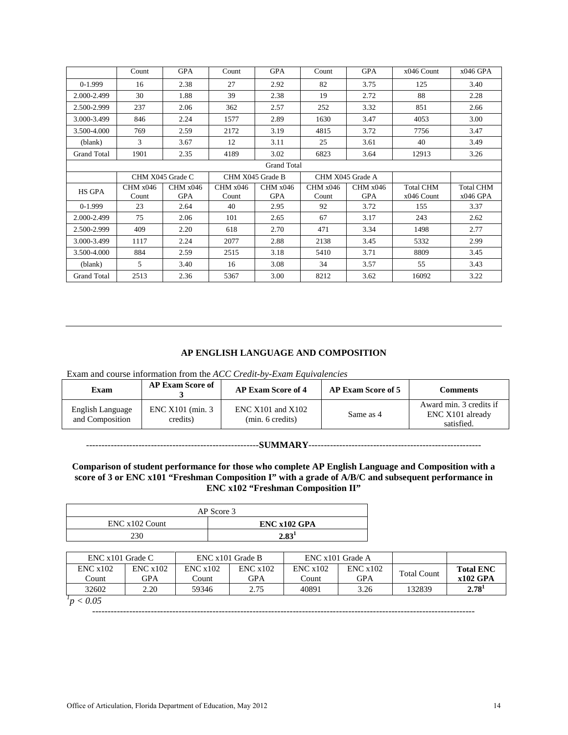|                    | Count              | <b>GPA</b>             | Count             | <b>GPA</b>             | Count             | <b>GPA</b>      | $x046$ Count                     | $x046$ GPA                     |  |  |  |
|--------------------|--------------------|------------------------|-------------------|------------------------|-------------------|-----------------|----------------------------------|--------------------------------|--|--|--|
| $0-1.999$          | 16                 | 2.38                   | 27                | 2.92                   | 82                | 3.75            | 125                              | 3.40                           |  |  |  |
| 2.000-2.499        | 30                 | 1.88                   | 39                | 2.38                   | 19                | 2.72            | 88                               | 2.28                           |  |  |  |
| 2.500-2.999        | 237                | 2.06                   | 362               | 2.57                   | 252               | 3.32            | 851                              | 2.66                           |  |  |  |
| 3.000-3.499        | 846                | 2.24                   | 1577              | 2.89                   | 1630              | 3.47            | 4053                             | 3.00                           |  |  |  |
| 3.500-4.000        | 769                | 2.59                   | 2172              | 3.19                   | 4815              | 3.72            | 7756                             | 3.47                           |  |  |  |
| (blank)            | 3                  | 3.67                   | 12                | 3.11                   | 25                | 3.61            | 40                               | 3.49                           |  |  |  |
| <b>Grand Total</b> | 1901               | 2.35                   | 4189              | 3.02                   | 6823              | 3.64            | 12913                            | 3.26                           |  |  |  |
|                    | <b>Grand Total</b> |                        |                   |                        |                   |                 |                                  |                                |  |  |  |
|                    |                    | CHM X045 Grade C       | CHM X045 Grade B  |                        | CHM X045 Grade A  |                 |                                  |                                |  |  |  |
| <b>HS GPA</b>      | CHM x046<br>Count  | CHM x046<br><b>GPA</b> | CHM x046<br>Count | CHM x046<br><b>GPA</b> | CHM x046<br>Count | CHM x046<br>GPA | <b>Total CHM</b><br>$x046$ Count | <b>Total CHM</b><br>$x046$ GPA |  |  |  |
| $0-1.999$          | 23                 | 2.64                   | 40                | 2.95                   | 92                | 3.72            | 155                              | 3.37                           |  |  |  |
| 2.000-2.499        | 75                 | 2.06                   | 101               | 2.65                   | 67                | 3.17            | 243                              | 2.62                           |  |  |  |
| 2.500-2.999        | 409                | 2.20                   | 618               | 2.70                   | 471               | 3.34            | 1498                             | 2.77                           |  |  |  |
| 3.000-3.499        | 1117               | 2.24                   | 2077              | 2.88                   | 2138              | 3.45            | 5332                             | 2.99                           |  |  |  |
| 3.500-4.000        | 884                | 2.59                   | 2515              | 3.18                   | 5410              | 3.71            | 8809                             | 3.45                           |  |  |  |
| (blank)            | 5.                 | 3.40                   | 16                | 3.08                   | 34                | 3.57            | 55                               | 3.43                           |  |  |  |
| <b>Grand Total</b> | 2513               | 2.36                   | 5367              | 3.00                   | 8212              | 3.62            | 16092                            | 3.22                           |  |  |  |

### **AP ENGLISH LANGUAGE AND COMPOSITION**

Exam and course information from the *ACC Credit-by-Exam Equivalencies*

| <b>AP Exam Score of</b><br>Exam     |                               | <b>AP Exam Score of 4</b>                 | <b>AP Exam Score of 5</b> | Comments                                                  |  |
|-------------------------------------|-------------------------------|-------------------------------------------|---------------------------|-----------------------------------------------------------|--|
| English Language<br>and Composition | ENC X101 (min. 3)<br>credits) | $ENC X101$ and $X102$<br>(min. 6 credits) | Same as 4                 | Award min. 3 credits if<br>ENC X101 already<br>satisfied. |  |

--------------------------------------------------------**SUMMARY**--------------------------------------------------------

### **Comparison of student performance for those who complete AP English Language and Composition with a score of 3 or ENC x101 "Freshman Composition I" with a grade of A/B/C and subsequent performance in ENC x102 "Freshman Composition II"**

| AP Score 3     |              |  |  |  |  |  |  |
|----------------|--------------|--|--|--|--|--|--|
| ENC x102 Count | ENC x102 GPA |  |  |  |  |  |  |
| 230            | 2.83'        |  |  |  |  |  |  |

| $ENC x101$ Grade C |                | ENC x101 Grade B   |                       | ENC x101 Grade A   |                         |                    |                              |
|--------------------|----------------|--------------------|-----------------------|--------------------|-------------------------|--------------------|------------------------------|
| ENCx102<br>Count   | ENCx102<br>GPA | ENC x 102<br>Count | ENCx102<br><b>GPA</b> | ENC x 102<br>Count | ENC x 102<br><b>GPA</b> | <b>Total Count</b> | <b>Total ENC</b><br>x102 GPA |
| 32602              | 2.20           | 59346              | 2.75                  | 40891              | 3.26                    | 132839             | 2.78 <sup>1</sup>            |
| p < 0.05           |                |                    |                       |                    |                         |                    |                              |

----------------------------------------------------------------------------------------------------------------------------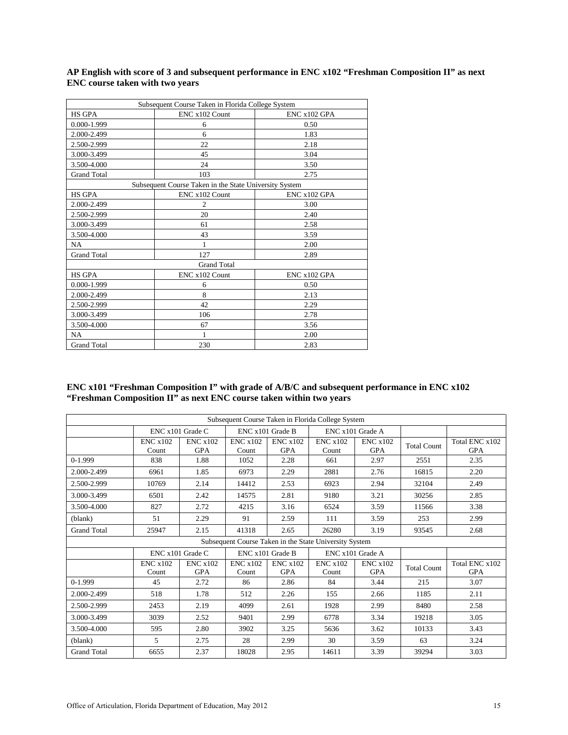|                    | Subsequent Course Taken in Florida College System      |               |
|--------------------|--------------------------------------------------------|---------------|
| <b>HS GPA</b>      | ENC x102 Count                                         | $ENCx102$ GPA |
| 0.000-1.999        | 6                                                      | 0.50          |
| 2.000-2.499        | 6                                                      | 1.83          |
| 2.500-2.999        | 22                                                     | 2.18          |
| 3.000-3.499        | 45                                                     | 3.04          |
| 3.500-4.000        | 24                                                     | 3.50          |
| <b>Grand Total</b> | 103                                                    | 2.75          |
|                    | Subsequent Course Taken in the State University System |               |
| <b>HS GPA</b>      | ENC x102 Count                                         | ENC x102 GPA  |
| 2.000-2.499        | $\overline{c}$                                         | 3.00          |
| 2.500-2.999        | 20                                                     | 2.40          |
| 3.000-3.499        | 61                                                     | 2.58          |
| 3.500-4.000        | 43                                                     | 3.59          |
| <b>NA</b>          | 1                                                      | 2.00          |
| <b>Grand Total</b> | 127                                                    | 2.89          |
|                    | <b>Grand Total</b>                                     |               |
| <b>HS GPA</b>      | ENC x102 Count                                         | ENC x102 GPA  |
| 0.000-1.999        | 6                                                      | 0.50          |
| 2.000-2.499        | 8                                                      | 2.13          |
| 2.500-2.999        | 42                                                     | 2.29          |
| 3.000-3.499        | 106                                                    | 2.78          |
| 3.500-4.000        | 67                                                     | 3.56          |
| <b>NA</b>          | 1                                                      | 2.00          |
| <b>Grand Total</b> | 230                                                    | 2.83          |

**AP English with score of 3 and subsequent performance in ENC x102 "Freshman Composition II" as next ENC course taken with two years**

## **ENC x101 "Freshman Composition I" with grade of A/B/C and subsequent performance in ENC x102 "Freshman Composition II" as next ENC course taken within two years**

| Subsequent Course Taken in Florida College System |                  |                               |                          |                               |                                                        |                               |                    |                              |  |
|---------------------------------------------------|------------------|-------------------------------|--------------------------|-------------------------------|--------------------------------------------------------|-------------------------------|--------------------|------------------------------|--|
|                                                   |                  | ENC x101 Grade C              |                          | ENC x101 Grade B              | ENC x101 Grade A                                       |                               |                    |                              |  |
|                                                   | ENCx102<br>Count | <b>ENC x102</b><br><b>GPA</b> | <b>ENC x102</b><br>Count | ENCx102<br><b>GPA</b>         | <b>ENC x102</b><br>Count                               | <b>ENC x102</b><br><b>GPA</b> | <b>Total Count</b> | Total ENC x102<br><b>GPA</b> |  |
| $0-1.999$                                         | 838              | 1.88                          | 1052                     | 2.28                          | 661                                                    | 2.97                          | 2551               | 2.35                         |  |
| 2.000-2.499                                       | 6961             | 1.85                          | 6973                     | 2.29                          | 2881                                                   | 2.76                          | 16815              | 2.20                         |  |
| 2.500-2.999                                       | 10769            | 2.14                          | 14412                    | 2.53                          | 6923                                                   | 2.94                          | 32104              | 2.49                         |  |
| 3.000-3.499                                       | 6501             | 2.42                          | 14575                    | 2.81                          | 9180                                                   | 3.21                          | 30256              | 2.85                         |  |
| 3.500-4.000                                       | 827              | 2.72                          | 4215                     | 3.16                          | 6524                                                   | 3.59                          | 11566              | 3.38                         |  |
| (blank)                                           | 51               | 2.29                          | 91                       | 2.59                          | 111                                                    | 3.59                          | 253                | 2.99                         |  |
| <b>Grand Total</b>                                | 25947            | 2.15                          | 41318                    | 2.65                          | 26280                                                  | 3.19                          | 93545              | 2.68                         |  |
|                                                   |                  |                               |                          |                               | Subsequent Course Taken in the State University System |                               |                    |                              |  |
|                                                   |                  | ENC x101 Grade C              |                          | ENC x101 Grade B              |                                                        | ENC x101 Grade A              |                    |                              |  |
|                                                   | ENCx102<br>Count | <b>ENC x102</b><br><b>GPA</b> | <b>ENC x102</b><br>Count | <b>ENC x102</b><br><b>GPA</b> | <b>ENC x102</b><br>Count                               | <b>ENC x102</b><br><b>GPA</b> | <b>Total Count</b> | Total ENC x102<br><b>GPA</b> |  |
| $0-1.999$                                         | 45               | 2.72                          | 86                       | 2.86                          | 84                                                     | 3.44                          | 215                | 3.07                         |  |
| 2.000-2.499                                       | 518              | 1.78                          | 512                      | 2.26                          | 155                                                    | 2.66                          | 1185               | 2.11                         |  |
| 2.500-2.999                                       | 2453             | 2.19                          | 4099                     | 2.61                          | 1928                                                   | 2.99                          | 8480               | 2.58                         |  |
| 3.000-3.499                                       | 3039             | 2.52                          | 9401                     | 2.99                          | 6778                                                   | 3.34                          | 19218              | 3.05                         |  |
| 3.500-4.000                                       | 595              | 2.80                          | 3902                     | 3.25                          | 5636                                                   | 3.62                          | 10133              | 3.43                         |  |
| (blank)                                           | 5                | 2.75                          | 28                       | 2.99                          | 30                                                     | 3.59                          | 63                 | 3.24                         |  |
| <b>Grand Total</b>                                | 6655             | 2.37                          | 18028                    | 2.95                          | 14611                                                  | 3.39                          | 39294              | 3.03                         |  |